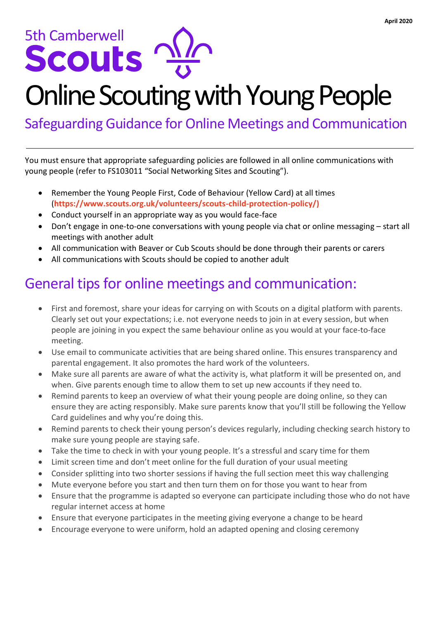# Sth Camberwell

# Online Scouting with Young People

Safeguarding Guidance for Online Meetings and Communication

You must ensure that appropriate safeguarding policies are followed in all online communications with young people (refer to FS103011 "Social Networking Sites and Scouting").

- Remember the Young People First, Code of Behaviour (Yellow Card) at all times (**[https://www.scouts.org.uk/volunteers/scouts-child-protection-policy/\)](https://www.scouts.org.uk/volunteers/scouts-child-protection-policy/)**
- Conduct yourself in an appropriate way as you would face-face
- Don't engage in one-to-one conversations with young people via chat or online messaging start all meetings with another adult
- All communication with Beaver or Cub Scouts should be done through their parents or carers
- All communications with Scouts should be copied to another adult

### General tips for online meetings and communication:

- First and foremost, share your ideas for carrying on with Scouts on a digital platform with parents. Clearly set out your expectations; i.e. not everyone needs to join in at every session, but when people are joining in you expect the same behaviour online as you would at your face-to-face meeting.
- Use email to communicate activities that are being shared online. This ensures transparency and parental engagement. It also promotes the hard work of the volunteers.
- Make sure all parents are aware of what the activity is, what platform it will be presented on, and when. Give parents enough time to allow them to set up new accounts if they need to.
- Remind parents to keep an overview of what their young people are doing online, so they can ensure they are acting responsibly. Make sure parents know that you'll still be following the Yellow Card guidelines and why you're doing this.
- Remind parents to check their young person's devices regularly, including checking search history to make sure young people are staying safe.
- Take the time to check in with your young people. It's a stressful and scary time for them
- Limit screen time and don't meet online for the full duration of your usual meeting
- Consider splitting into two shorter sessions if having the full section meet this way challenging
- Mute everyone before you start and then turn them on for those you want to hear from
- Ensure that the programme is adapted so everyone can participate including those who do not have regular internet access at home
- Ensure that everyone participates in the meeting giving everyone a change to be heard
- Encourage everyone to were uniform, hold an adapted opening and closing ceremony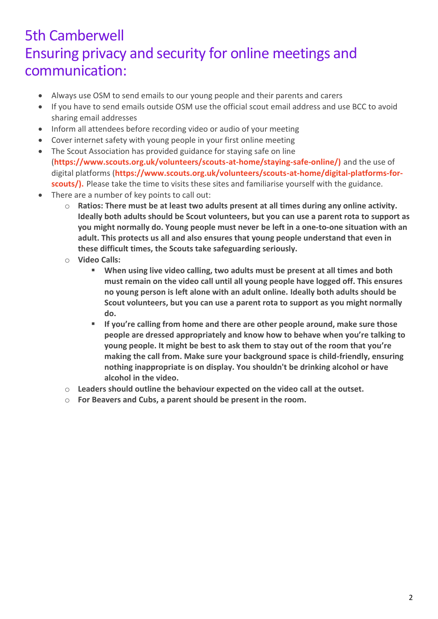#### 5th Camberwell Ensuring privacy and security for online meetings and communication:

- Always use OSM to send emails to our young people and their parents and carers
- If you have to send emails outside OSM use the official scout email address and use BCC to avoid sharing email addresses
- Inform all attendees before recording video or audio of your meeting
- Cover internet safety with young people in your first online meeting
- The Scout Association has provided guidance for staying safe on line (**https://www.scouts.org.uk/volunteers/scouts-at-home/staying-safe-online/)** and the use of digital platforms (**[https://www.scouts.org.uk/volunteers/scouts-at-home/digital-platforms-for](https://www.scouts.org.uk/volunteers/scouts-at-home/digital-platforms-for-scouts/)[scouts/\)](https://www.scouts.org.uk/volunteers/scouts-at-home/digital-platforms-for-scouts/).** Please take the time to visits these sites and familiarise yourself with the guidance.
- There are a number of key points to call out:
	- o **Ratios: There must be at least two adults present at all times during any online activity. Ideally both adults should be Scout volunteers, but you can use a parent rota to support as you might normally do. Young people must never be left in a one-to-one situation with an adult. This protects us all and also ensures that young people understand that even in these difficult times, the Scouts take safeguarding seriously.**
	- o **Video Calls:** 
		- **When using live video calling, two adults must be present at all times and both must remain on the video call until all young people have logged off. This ensures no young person is left alone with an adult online. Ideally both adults should be Scout volunteers, but you can use a parent rota to support as you might normally do.**
		- **If you're calling from home and there are other people around, make sure those people are dressed appropriately and know how to behave when you're talking to young people. It might be best to ask them to stay out of the room that you're making the call from. Make sure your background space is child-friendly, ensuring nothing inappropriate is on display. You shouldn't be drinking alcohol or have alcohol in the video.**
	- o **Leaders should outline the behaviour expected on the video call at the outset.**
	- o **For Beavers and Cubs, a parent should be present in the room.**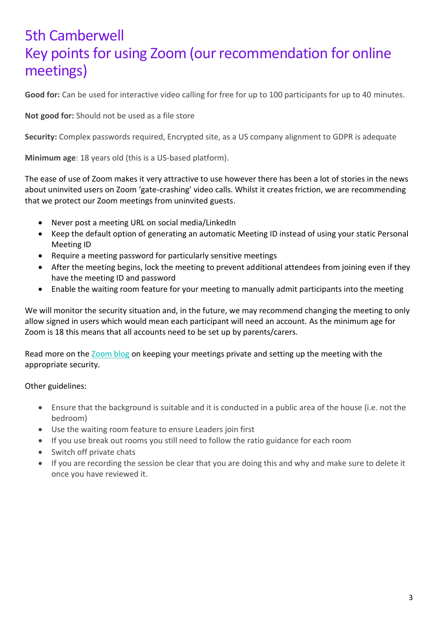#### 5th Camberwell Key points for using Zoom (our recommendation for online meetings)

**Good for:** Can be used for interactive video calling for free for up to 100 participants for up to 40 minutes.

**Not good for:** Should not be used as a file store

**Security:** Complex passwords required, Encrypted site, as a US company alignment to GDPR is adequate

**Minimum age**: 18 years old (this is a US-based platform).

The ease of use of Zoom makes it very attractive to use however there has been a lot of stories in the news about uninvited users on Zoom 'gate-crashing' video calls. Whilst it creates friction, we are recommending that we protect our Zoom meetings from uninvited guests.

- Never post a meeting URL on social media/LinkedIn
- Keep the default option of generating an automatic Meeting ID instead of using your static Personal Meeting ID
- Require a meeting password for particularly sensitive meetings
- After the meeting begins, lock the meeting to prevent additional attendees from joining even if they have the meeting ID and password
- Enable the waiting room feature for your meeting to manually admit participants into the meeting

We will monitor the security situation and, in the future, we may recommend changing the meeting to only allow signed in users which would mean each participant will need an account. As the minimum age for Zoom is 18 this means that all accounts need to be set up by parents/carers.

Read more on the [Zoom blog](https://blog.zoom.us/wordpress/2020/03/20/keep-the-party-crashers-from-crashing-your-zoom-event/) on keeping your meetings private and setting up the meeting with the appropriate security.

Other guidelines:

- Ensure that the background is suitable and it is conducted in a public area of the house (i.e. not the bedroom)
- Use the waiting room feature to ensure Leaders join first
- If you use break out rooms you still need to follow the ratio guidance for each room
- Switch off private chats
- If you are recording the session be clear that you are doing this and why and make sure to delete it once you have reviewed it.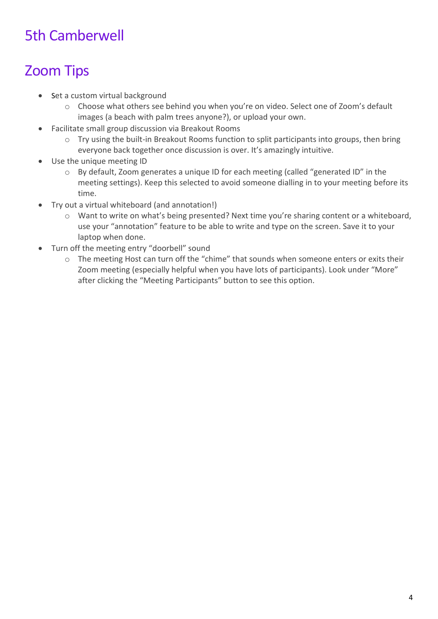## 5th Camberwell

# Zoom Tips

- Set a custom virtual background
	- o Choose what others see behind you when you're on video. Select one of Zoom's default images (a beach with palm trees anyone?), or upload your own.
- Facilitate small group discussion via Breakout Rooms
	- o Try using the built-in Breakout Rooms function to split participants into groups, then bring everyone back together once discussion is over. It's amazingly intuitive.
- Use the unique meeting ID
	- o By default, Zoom generates a unique ID for each meeting (called "generated ID" in the meeting settings). Keep this selected to avoid someone dialling in to your meeting before its time.
- Try out a virtual whiteboard (and annotation!)
	- o Want to write on what's being presented? Next time you're sharing content or a whiteboard, use your "annotation" feature to be able to write and type on the screen. Save it to your laptop when done.
- Turn off the meeting entry "doorbell" sound
	- o The meeting Host can turn off the "chime" that sounds when someone enters or exits their Zoom meeting (especially helpful when you have lots of participants). Look under "More" after clicking the "Meeting Participants" button to see this option.